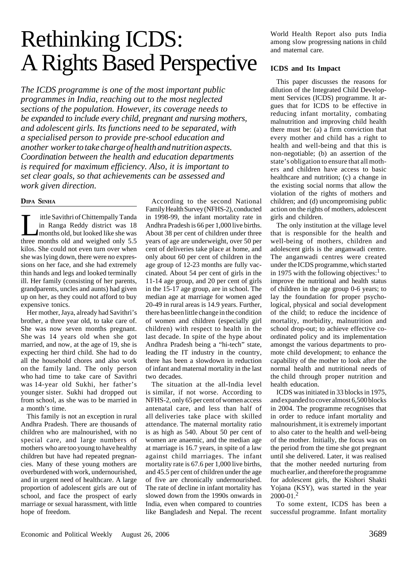# Rethinking ICDS: A Rights Based Perspective

*The ICDS programme is one of the most important public programmes in India, reaching out to the most neglected sections of the population. However, its coverage needs to be expanded to include every child, pregnant and nursing mothers, and adolescent girls. Its functions need to be separated, with a specialised person to provide pre-school education and another worker to take charge of health and nutrition aspects. Coordination between the health and education departments is required for maximum efficiency. Also, it is important to set clear goals, so that achievements can be assessed and work given direction.*

#### **DIPA SINHA**

ittle Savithri of Chittempally Tanda in Ranga Reddy district was 18 months old, but looked like she was three months old and weighed only 5.5 kilos. She could not even turn over when she was lying down, there were no expressions on her face, and she had extremely thin hands and legs and looked terminally ill. Her family (consisting of her parents, grandparents, uncles and aunts) had given up on her, as they could not afford to buy expensive tonics.

Her mother, Jaya, already had Savithri's brother, a three year old, to take care of. She was now seven months pregnant. She was 14 years old when she got married, and now, at the age of 19, she is expecting her third child. She had to do all the household chores and also work on the family land. The only person who had time to take care of Savithri was 14-year old Sukhi, her father's younger sister. Sukhi had dropped out from school, as she was to be married in a month's time.

This family is not an exception in rural Andhra Pradesh. There are thousands of children who are malnourished, with no special care, and large numbers of mothers who are too young to have healthy children but have had repeated pregnancies. Many of these young mothers are overburdened with work, undernourished, and in urgent need of healthcare. A large proportion of adolescent girls are out of school, and face the prospect of early marriage or sexual harassment, with little hope of freedom.

According to the second National Family Health Survey (NFHS-2), conducted in 1998-99, the infant mortality rate in Andhra Pradesh is 66 per 1,000 live births. About 38 per cent of children under three years of age are underweight, over 50 per cent of deliveries take place at home, and only about 60 per cent of children in the age group of 12-23 months are fully vaccinated. About 54 per cent of girls in the 11-14 age group, and 20 per cent of girls in the 15-17 age group, are in school. The median age at marriage for women aged 20-49 in rural areas is 14.9 years. Further, there has been little change in the condition of women and children (especially girl children) with respect to health in the last decade. In spite of the hype about Andhra Pradesh being a "hi-tech" state, leading the IT industry in the country, there has been a slowdown in reduction of infant and maternal mortality in the last two decades.

The situation at the all-India level is similar, if not worse. According to NFHS-2, only 65 per cent of women access antenatal care, and less than half of all deliveries take place with skilled attendance. The maternal mortality ratio is as high as 540. About 50 per cent of women are anaemic, and the median age at marriage is 16.7 years, in spite of a law against child marriages. The infant mortality rate is 67.6 per 1,000 live births, and 45.5 per cent of children under the age of five are chronically undernourished. The rate of decline in infant mortality has slowed down from the 1990s onwards in India, even when compared to countries like Bangladesh and Nepal. The recent

World Health Report also puts India among slow progressing nations in child and maternal care.

## **ICDS and Its Impact**

This paper discusses the reasons for dilution of the Integrated Child Development Services (ICDS) programme. It argues that for ICDS to be effective in reducing infant mortality, combating malnutrition and improving child health there must be: (a) a firm conviction that every mother and child has a right to health and well-being and that this is non-negotiable; (b) an assertion of the state's obligation to ensure that all mothers and children have access to basic healthcare and nutrition; (c) a change in the existing social norms that allow the violation of the rights of mothers and children; and (d) uncompromising public action on the rights of mothers, adolescent girls and children.

The only institution at the village level that is responsible for the health and well-being of mothers, children and adolescent girls is the anganwadi centre. The anganwadi centres were created under the ICDS programme, which started in 1975 with the following objectives: $\frac{1}{1}$  to improve the nutritional and health status of children in the age group 0-6 years; to lay the foundation for proper psychological, physical and social development of the child; to reduce the incidence of mortality, morbidity, malnutrition and school drop-out; to achieve effective coordinated policy and its implementation amongst the various departments to promote child development; to enhance the capability of the mother to look after the normal health and nutritional needs of the child through proper nutrition and health education.

ICDS was initiated in 33 blocks in 1975, and expanded to cover almost 6,500 blocks in 2004. The programme recognises that in order to reduce infant mortality and malnourishment, it is extremely important to also cater to the health and well-being of the mother. Initially, the focus was on the period from the time she got pregnant until she delivered. Later, it was realised that the mother needed nurturing from much earlier, and therefore the programme for adolescent girls, the Kishori Shakti Yojana (KSY), was started in the year 2000-01.<sup>2</sup>

To some extent, ICDS has been a successful programme. Infant mortality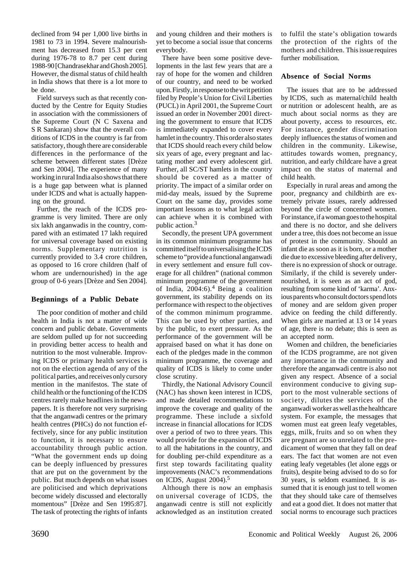declined from 94 per 1,000 live births in 1981 to 73 in 1994. Severe malnourishment has decreased from 15.3 per cent during 1976-78 to 8.7 per cent during 1988-90 [Chandrasekhar and Ghosh 2005]. However, the dismal status of child health in India shows that there is a lot more to be done.

Field surveys such as that recently conducted by the Centre for Equity Studies in association with the commissioners of the Supreme Court (N C Saxena and S R Sankaran) show that the overall conditions of ICDS in the country is far from satisfactory, though there are considerable differences in the performance of the scheme between different states [Drèze and Sen 2004]. The experience of many working in rural India also shows that there is a huge gap between what is planned under ICDS and what is actually happening on the ground.

Further, the reach of the ICDS programme is very limited. There are only six lakh anganwadis in the country, compared with an estimated 17 lakh required for universal coverage based on existing norms. Supplementary nutrition is currently provided to 3.4 crore children, as opposed to 16 crore children (half of whom are undernourished) in the age group of 0-6 years [Drèze and Sen 2004].

## **Beginnings of a Public Debate**

The poor condition of mother and child health in India is not a matter of wide concern and public debate. Governments are seldom pulled up for not succeeding in providing better access to health and nutrition to the most vulnerable. Improving ICDS or primary health services is not on the election agenda of any of the political parties, and receives only cursory mention in the manifestos. The state of child health or the functioning of the ICDS centres rarely make headlines in the newspapers. It is therefore not very surprising that the anganwadi centres or the primary health centres (PHCs) do not function effectively, since for any public institution to function, it is necessary to ensure accountability through public action. "What the government ends up doing can be deeply influenced by pressures that are put on the government by the public. But much depends on what issues are politicised and which deprivations become widely discussed and electorally momentous" [Drèze and Sen 1995:87]. The task of protecting the rights of infants

and young children and their mothers is yet to become a social issue that concerns everybody.

There have been some positive developments in the last few years that are a ray of hope for the women and children of our country, and need to be worked upon. Firstly, in response to the writ petition filed by People's Union for Civil Liberties (PUCL) in April 2001, the Supreme Court issued an order in November 2001 directing the government to ensure that ICDS is immediately expanded to cover every hamlet in the country. This order also states that ICDS should reach every child below six years of age, every pregnant and lactating mother and every adolescent girl. Further, all SC/ST hamlets in the country should be covered as a matter of priority. The impact of a similar order on mid-day meals, issued by the Supreme Court on the same day, provides some important lessons as to what legal action can achieve when it is combined with public action.3

Secondly, the present UPA government in its common minimum programme has committed itself to universalising the ICDS scheme to "provide a functional anganwadi in every settlement and ensure full coverage for all children" (national common minimum programme of the government of India, 2004:6).4 Being a coalition government, its stability depends on its performance with respect to the objectives of the common minimum programme. This can be used by other parties, and by the public, to exert pressure. As the performance of the government will be appraised based on what it has done on each of the pledges made in the common minimum programme, the coverage and quality of ICDS is likely to come under close scrutiny.

Thirdly, the National Advisory Council (NAC) has shown keen interest in ICDS, and made detailed recommendations to improve the coverage and quality of the programme. These include a sixfold increase in financial allocations for ICDS over a period of two to three years. This would provide for the expansion of ICDS to all the habitations in the country, and for doubling per-child expenditure as a first step towards facilitating quality improvements (NAC's recommendations on ICDS, August 2004).5

Although there is now an emphasis on universal coverage of ICDS, the anganwadi centre is still not explicitly acknowledged as an institution created to fulfil the state's obligation towards the protection of the rights of the mothers and children. This issue requires further mobilisation.

### **Absence of Social Norms**

The issues that are to be addressed by ICDS, such as maternal/child health or nutrition or adolescent health, are as much about social norms as they are about poverty, access to resources, etc. For instance, gender discrimination deeply influences the status of women and children in the community. Likewise, attitudes towards women, pregnancy, nutrition, and early childcare have a great impact on the status of maternal and child health.

Especially in rural areas and among the poor, pregnancy and childbirth are extremely private issues, rarely addressed beyond the circle of concerned women. For instance, if a woman goes to the hospital and there is no doctor, and she delivers under a tree, this does not become an issue of protest in the community. Should an infant die as soon as it is born, or a mother die due to excessive bleeding after delivery, there is no expression of shock or outrage. Similarly, if the child is severely undernourished, it is seen as an act of god, resulting from some kind of 'karma'*.* Anxious parents who consult doctors spend lots of money and are seldom given proper advice on feeding the child differently. When girls are married at 13 or 14 years of age, there is no debate; this is seen as an accepted norm.

Women and children, the beneficiaries of the ICDS programme, are not given any importance in the community and therefore the anganwadi centre is also not given any respect. Absence of a social environment conducive to giving support to the most vulnerable sections of society, dilutes the services of the anganwadi worker as well as the healthcare system. For example, the messages that women must eat green leafy vegetables, eggs, milk, fruits and so on when they are pregnant are so unrelated to the predicament of women that they fall on deaf ears. The fact that women are not even eating leafy vegetables (let alone eggs or fruits), despite being advised to do so for 30 years, is seldom examined. It is assumed that it is enough just to tell women that they should take care of themselves and eat a good diet. It does not matter that social norms to encourage such practices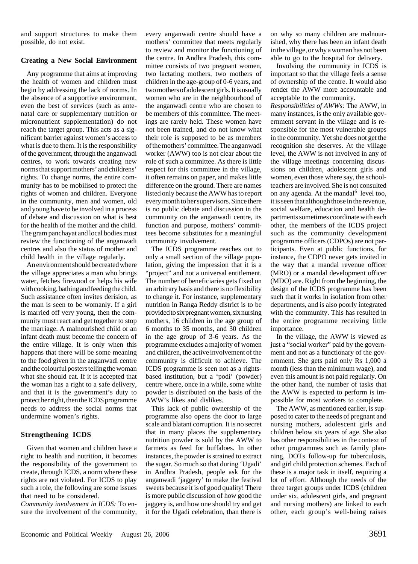and support structures to make them possible, do not exist.

## **Creating a New Social Environment**

Any programme that aims at improving the health of women and children must begin by addressing the lack of norms. In the absence of a supportive environment, even the best of services (such as antenatal care or supplementary nutrition or micronutrient supplementation) do not reach the target group. This acts as a significant barrier against women's access to what is due to them. It is the responsibility of the government, through the anganwadi centres, to work towards creating new norms that support mothers' and childrens' rights. To change norms, the entire community has to be mobilised to protect the rights of women and children. Everyone in the community, men and women, old and young have to be involved in a process of debate and discussion on what is best for the health of the mother and the child. The gram panchayat and local bodies must review the functioning of the anganwadi centres and also the status of mother and child health in the village regularly.

An environment should be created where the village appreciates a man who brings water, fetches firewood or helps his wife with cooking, bathing and feeding the child. Such assistance often invites derision, as the man is seen to be womanly. If a girl is married off very young, then the community must react and get together to stop the marriage. A malnourished child or an infant death must become the concern of the entire village. It is only when this happens that there will be some meaning to the food given in the anganwadi centre and the colourful posters telling the woman what she should eat. If it is accepted that the woman has a right to a safe delivery, and that it is the government's duty to protect her right, then the ICDS programme needs to address the social norms that undermine women's rights.

# **Strengthening ICDS**

Given that women and children have a right to health and nutrition, it becomes the responsibility of the government to create, through ICDS, a norm where these rights are not violated. For ICDS to play such a role, the following are some issues that need to be considered.

*Community involvement in ICDS:* To ensure the involvement of the community, every anganwadi centre should have a mothers' committee that meets regularly to review and monitor the functioning of the centre. In Andhra Pradesh, this committee consists of two pregnant women, two lactating mothers, two mothers of children in the age-group of 0-6 years, and two mothers of adolescent girls. It is usually women who are in the neighbourhood of the anganwadi centre who are chosen to be members of this committee. The meetings are rarely held. These women have not been trained, and do not know what their role is supposed to be as members of the mothers' committee. The anganwadi worker (AWW) too is not clear about the role of such a committee. As there is little respect for this committee in the village, it often remains on paper, and makes little difference on the ground. There are names listed only because the AWW has to report every month to her supervisors. Since there is no public debate and discussion in the community on the anganwadi centre, its function and purpose, mothers' committees become substitutes for a meaningful community involvement.

The ICDS programme reaches out to only a small section of the village population, giving the impression that it is a "project" and not a universal entitlement. The number of beneficiaries gets fixed on an arbitrary basis and there is no flexibility to change it. For instance, supplementary nutrition in Ranga Reddy district is to be provided to six pregnant women, six nursing mothers, 16 children in the age group of 6 months to 35 months, and 30 children in the age group of 3-6 years. As the programme excludes a majority of women and children, the active involvement of the community is difficult to achieve. The ICDS programme is seen not as a rightsbased institution, but a 'podi' (powder) centre where, once in a while, some white powder is distributed on the basis of the AWW's likes and dislikes.

This lack of public ownership of the programme also opens the door to large scale and blatant corruption. It is no secret that in many places the supplementary nutrition powder is sold by the AWW to farmers as feed for buffaloes. In other instances, the powder is strained to extract the sugar. So much so that during 'Ugadi' in Andhra Pradesh, people ask for the anganwadi 'jaggery' to make the festival sweets because it is of good quality! There is more public discussion of how good the jaggery is, and how one should try and get it for the Ugadi celebration, than there is

on why so many children are malnourished, why there has been an infant death in the village, or why a woman has not been able to go to the hospital for delivery.

Involving the community in ICDS is important so that the village feels a sense of ownership of the centre. It would also render the AWW more accountable and acceptable to the community.

*Responsibilities of AWWs:* The AWW, in many instances, is the only available government servant in the village and is responsible for the most vulnerable groups in the community. Yet she does not get the recognition she deserves. At the village level, the AWW is not involved in any of the village meetings concerning discussions on children, adolescent girls and women, even those where say, the schoolteachers are involved. She is not consulted on any agenda. At the mandal $<sup>6</sup>$  level too,</sup> it is seen that although those in the revenue, social welfare, education and health departments sometimes coordinate with each other, the members of the ICDS project such as the community development programme officers (CDPOs) are not participants. Even at public functions, for instance, the CDPO never gets invited in the way that a mandal revenue officer (MRO) or a mandal development officer (MDO) are. Right from the beginning, the design of the ICDS programme has been such that it works in isolation from other departments, and is also poorly integrated with the community. This has resulted in the entire programme receiving little importance.

In the village, the AWW is viewed as just a "social worker" paid by the government and not as a functionary of the government. She gets paid only Rs 1,000 a month (less than the minimum wage), and even this amount is not paid regularly. On the other hand, the number of tasks that the AWW is expected to perform is impossible for most workers to complete.

The AWW, as mentioned earlier, is supposed to cater to the needs of pregnant and nursing mothers, adolescent girls and children below six years of age. She also has other responsibilities in the context of other programmes such as family planning, DOTs follow-up for tuberculosis, and girl child protection schemes. Each of these is a major task in itself, requiring a lot of effort. Although the needs of the three target groups under ICDS (children under six, adolescent girls, and pregnant and nursing mothers) are linked to each other, each group's well-being raises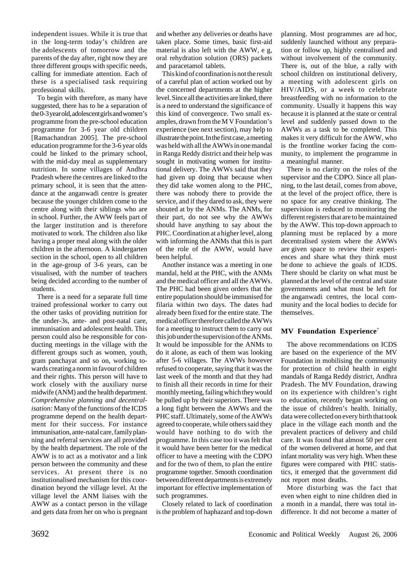independent issues. While it is true that in the long-term today's children are the adolescents of tomorrow and the parents of the day after, right now they are three different groups with specific needs, calling for immediate attention. Each of these is a specialised task requiring professional skills.

To begin with therefore, as many have suggested, there has to be a separation of the 0-3 year old, adolescent girls and women's programme from the pre-school education programme for 3-6 year old children [Ramachandran 2005]. The pre-school education programme for the 3-6 year olds could be linked to the primary school, with the mid-day meal as supplementary nutrition. In some villages of Andhra Pradesh where the centres are linked to the primary school, it is seen that the attendance at the anganwadi centre is greater because the younger children come to the centre along with their siblings who are in school. Further, the AWW feels part of the larger institution and is therefore motivated to work. The children also like having a proper meal along with the older children in the afternoon. A kindergarten section in the school, open to all children in the age-group of 3-6 years, can be visualised, with the number of teachers being decided according to the number of students.

There is a need for a separate full time trained professional worker to carry out the other tasks of providing nutrition for the under-3s, ante- and post-natal care, immunisation and adolescent health. This person could also be responsible for conducting meetings in the village with the different groups such as women, youth, gram panchayat and so on, working towards creating a norm in favour of children and their rights. This person will have to work closely with the auxiliary nurse midwife (ANM) and the health department. *Comprehensive planning and decentralisation:* Many of the functions of the ICDS programme depend on the health department for their success. For instance immunisation, ante-natal care, family planning and referral services are all provided by the health department. The role of the AWW is to act as a motivator and a link person between the community and these services. At present there is no institutionalised mechanism for this coordination beyond the village level. At the village level the ANM liaises with the AWW as a contact person in the village and gets data from her on who is pregnant and whether any deliveries or deaths have taken place. Some times, basic first-aid material is also left with the AWW, e g, oral rehydration solution (ORS) packets and paracetamol tablets.

This kind of coordination is not the result of a careful plan of action worked out by the concerned departments at the higher level. Since all the activities are linked, there is a need to understand the significance of this kind of convergence. Two small examples, drawn from the M V Foundation's experience (see next section), may help to illustrate the point. In the first case, a meeting was held with all the AWWs in one mandal in Ranga Reddy district and their help was sought in motivating women for institutional delivery. The AWWs said that they had given up doing that because when they did take women along to the PHC, there was nobody there to provide the service, and if they dared to ask, they were shouted at by the ANMs. The ANMs, for their part, do not see why the AWWs should have anything to say about the PHC. Coordination at a higher level, along with informing the ANMs that this is part of the role of the AWW, would have been helpful.

Another instance was a meeting in one mandal, held at the PHC, with the ANMs and the medical officer and all the AWWs. The PHC had been given orders that the entire population should be immunised for filaria within two days. The dates had already been fixed for the entire state. The medical officer therefore called the AWWs for a meeting to instruct them to carry out this job under the supervision of the ANMs. It would be impossible for the ANMs to do it alone, as each of them was looking after 5-6 villages. The AWWs however refused to cooperate, saying that it was the last week of the month and that they had to finish all their records in time for their monthly meeting, failing which they would be pulled up by their superiors. There was a long fight between the AWWs and the PHC staff. Ultimately, some of the AWWs agreed to cooperate, while others said they would have nothing to do with the programme. In this case too it was felt that it would have been better for the medical officer to have a meeting with the CDPO and for the two of them, to plan the entire programme together. Smooth coordination between different departments is extremely important for effective implementation of such programmes.

Closely related to lack of coordination is the problem of haphazard and top-down

planning. Most programmes are ad hoc, suddenly launched without any preparation or follow up, highly centralised and without involvement of the community. There is, out of the blue, a rally with school children on institutional delivery, a meeting with adolescent girls on HIV/AIDS, or a week to celebrate breastfeeding with no information to the community. Usually it happens this way because it is planned at the state or central level and suddenly passed down to the AWWs as a task to be completed. This makes it very difficult for the AWW, who is the frontline worker facing the community, to implement the programme in a meaningful manner.

There is no clarity on the roles of the supervisor and the CDPO. Since all planning, to the last detail, comes from above, at the level of the project office, there is no space for any creative thinking. The supervision is reduced to monitoring the different registers that are to be maintained by the AWW. This top-down approach to planning must be replaced by a more decentralised system where the AWWs are given space to review their experiences and share what they think must be done to achieve the goals of ICDS. There should be clarity on what must be planned at the level of the central and state governments and what must be left for the anganwadi centres, the local community and the local bodies to decide for themselves.

## **MV Foundation Experience**<sup>7</sup>

The above recommendations on ICDS are based on the experience of the MV Foundation in mobilising the community for protection of child health in eight mandals of Ranga Reddy district, Andhra Pradesh. The MV Foundation, drawing on its experience with children's right to education, recently began working on the issue of children's health. Initially, data were collected on every birth that took place in the village each month and the prevalent practices of delivery and child care. It was found that almost 50 per cent of the women delivered at home, and that infant mortality was very high. When these figures were compared with PHC statistics, it emerged that the government did not report most deaths.

More disturbing was the fact that even when eight to nine children died in a month in a mandal, there was total indifference. It did not become a matter of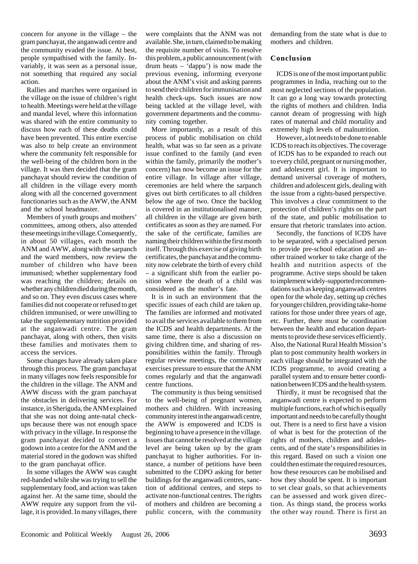concern for anyone in the village – the gram panchayat, the anganwadi centre and the community evaded the issue. At best, people sympathised with the family. Invariably, it was seen as a personal issue, not something that required any social action.

Rallies and marches were organised in the village on the issue of children's right to health. Meetings were held at the village and mandal level, where this information was shared with the entire community to discuss how each of these deaths could have been prevented. This entire exercise was also to help create an environment where the community felt responsible for the well-being of the children born in the village. It was then decided that the gram panchayat should review the condition of all children in the village every month along with all the concerned government functionaries such as the AWW, the ANM and the school headmaster.

Members of youth groups and mothers' committees, among others, also attended these meetings in the village. Consequently, in about 50 villages, each month the ANM and AWW, along with the sarpanch and the ward members, now review the number of children who have been immunised; whether supplementary food was reaching the children; details on whether any children died during the month, and so on. They even discuss cases where families did not cooperate or refused to get children immunised, or were unwilling to take the supplementary nutrition provided at the anganwadi centre. The gram panchayat, along with others, then visits these families and motivates them to access the services.

Some changes have already taken place through this process. The gram panchayat in many villages now feels responsible for the children in the village. The ANM and AWW discuss with the gram panchayat the obstacles in delivering services. For instance, in Sheriguda, the ANM explained that she was not doing ante-natal checkups because there was not enough space with privacy in the village. In response the gram panchayat decided to convert a godown into a centre for the ANM and the material stored in the godown was shifted to the gram panchayat office.

In some villages the AWW was caught red-handed while she was trying to sell the supplementary food, and action was taken against her. At the same time, should the AWW require any support from the village, it is provided. In many villages, there were complaints that the ANM was not available. She, in turn, claimed to be making the requisite number of visits. To resolve this problem, a public announcement (with drum beats – 'dappu') is now made the previous evening, informing everyone about the ANM's visit and asking parents to send their children for immunisation and health check-ups. Such issues are now being tackled at the village level, with government departments and the community coming together.

More importantly, as a result of this process of public mobilisation on child health, what was so far seen as a private issue confined to the family (and even within the family, primarily the mother's concern) has now become an issue for the entire village. In village after village, ceremonies are held where the sarpanch gives out birth certificates to all children below the age of two. Once the backlog is covered in an institutionalised manner, all children in the village are given birth certificates as soon as they are named. For the sake of the certificate, families are naming their children within the first month itself. Through this exercise of giving birth certificates, the panchayat and the community now celebrate the birth of every child – a significant shift from the earlier position where the death of a child was considered as the mother's fate*.*

It is in such an environment that the specific issues of each child are taken up. The families are informed and motivated to avail the services available to them from the ICDS and health departments. At the same time, there is also a discussion on giving children time, and sharing of responsibilities within the family. Through regular review meetings, the community exercises pressure to ensure that the ANM comes regularly and that the anganwadi centre functions.

The community is thus being sensitised to the well-being of pregnant women, mothers and children. With increasing community interest in the anganwadi centre, the AWW is empowered and ICDS is beginning to have a presence in the village. Issues that cannot be resolved at the village level are being taken up by the gram panchayat to higher authorities. For instance, a number of petitions have been submitted to the CDPO asking for better buildings for the anganwadi centres, sanction of additional centres, and steps to activate non-functional centres. The rights of mothers and children are becoming a public concern, with the community

demanding from the state what is due to mothers and children.

### **Conclusion**

ICDS is one of the most important public programmes in India, reaching out to the most neglected sections of the population. It can go a long way towards protecting the rights of mothers and children. India cannot dream of progressing with high rates of maternal and child mortality and extremely high levels of malnutrition.

However, a lot needs to be done to enable ICDS to reach its objectives. The coverage of ICDS has to be expanded to reach out to every child, pregnant or nursing mother, and adolescent girl. It is important to demand universal coverage of mothers, children and adolescent girls, dealing with the issue from a rights-based perspective. This involves a clear commitment to the protection of children's rights on the part of the state, and public mobilisation to ensure that rhetoric translates into action.

Secondly, the functions of ICDS have to be separated, with a specialised person to provide pre-school education and another trained worker to take charge of the health and nutrition aspects of the programme. Active steps should be taken to implement widely-supported recommendations such as keeping anganwadi centres open for the whole day, setting up crèches for younger children, providing take-home rations for those under three years of age, etc. Further, there must be coordination between the health and education departments to provide these services efficiently. Also, the National Rural Health Mission's plan to post community health workers in each village should be integrated with the ICDS programme, to avoid creating a parallel system and to ensure better coordination between ICDS and the health system.

Thirdly, it must be recognised that the anganwadi centre is expected to perform multiple functions, each of which is equally important and needs to be carefully thought out. There is a need to first have a vision of what is best for the protection of the rights of mothers, children and adolescents, and of the state's responsibilities in this regard. Based on such a vision one could then estimate the required resources, how these resources can be mobilised and how they should be spent. It is important to set clear goals, so that achievements can be assessed and work given direction. As things stand, the process works the other way round. There is first an